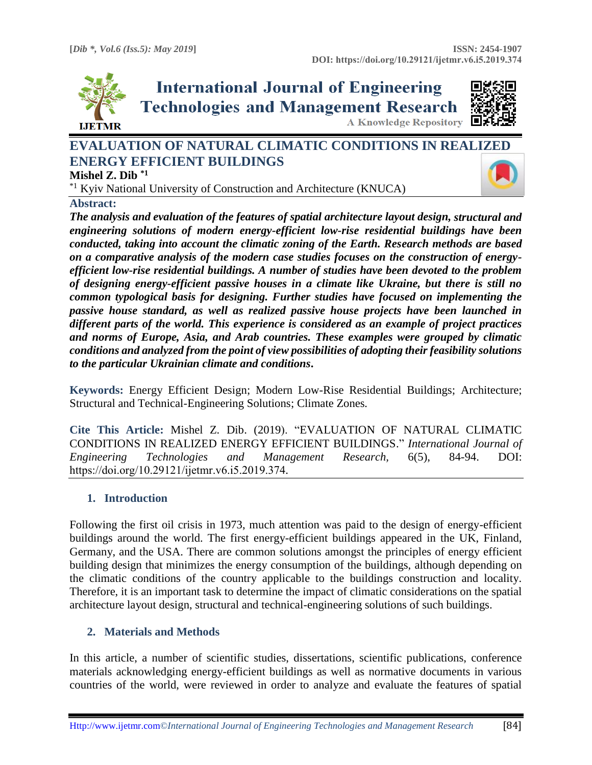

**International Journal of Engineering Technologies and Management Research A Knowledge Repository** 



# **EVALUATION OF NATURAL CLIMATIC CONDITIONS IN REAL[IZED](https://crossmark.crossref.org/dialog/?doi=10.29121/ijetmr.v6.i5.2019.374&domain=pdf&date_stamp=2019-05-31)  ENERGY EFFICIENT BUILDINGS**

**Mishel Z. Dib \*1**

\*1 Kyiv National University of Construction and Architecture (KNUCA)

**Abstract:** 

*The analysis and evaluation of the features of spatial architecture layout design, structural and engineering solutions of modern energy-efficient low-rise residential buildings have been conducted, taking into account the climatic zoning of the Earth. Research methods are based on a comparative analysis of the modern case studies focuses on the construction of energyefficient low-rise residential buildings. A number of studies have been devoted to the problem of designing energy-efficient passive houses in a climate like Ukraine, but there is still no common typological basis for designing. Further studies have focused on implementing the passive house standard, as well as realized passive house projects have been launched in different parts of the world. This experience is considered as an example of project practices and norms of Europe, Asia, and Arab countries. These examples were grouped by climatic conditions and analyzed from the point of view possibilities of adopting their feasibility solutions to the particular Ukrainian climate and conditions***.**

**Keywords:** Energy Efficient Design; Modern Low-Rise Residential Buildings; Architecture; Structural and Technical-Engineering Solutions; Climate Zones*.* 

**Cite This Article:** Mishel Z. Dib. (2019). "EVALUATION OF NATURAL CLIMATIC CONDITIONS IN REALIZED ENERGY EFFICIENT BUILDINGS." *International Journal of Engineering Technologies and Management Research,* 6(5), 84-94. DOI: https://doi.org/10.29121/ijetmr.v6.i5.2019.374.

### **1. Introduction**

Following the first oil crisis in 1973, much attention was paid to the design of energy-efficient buildings around the world. The first energy-efficient buildings appeared in the UK, Finland, Germany, and the USA. There are common solutions amongst the principles of energy efficient building design that minimizes the energy consumption of the buildings, although depending on the climatic conditions of the country applicable to the buildings construction and locality. Therefore, it is an important task to determine the impact of climatic considerations on the spatial architecture layout design, structural and technical-engineering solutions of such buildings.

# **2. Materials and Methods**

In this article, a number of scientific studies, dissertations, scientific publications, conference materials acknowledging energy-efficient buildings as well as normative documents in various countries of the world, were reviewed in order to analyze and evaluate the features of spatial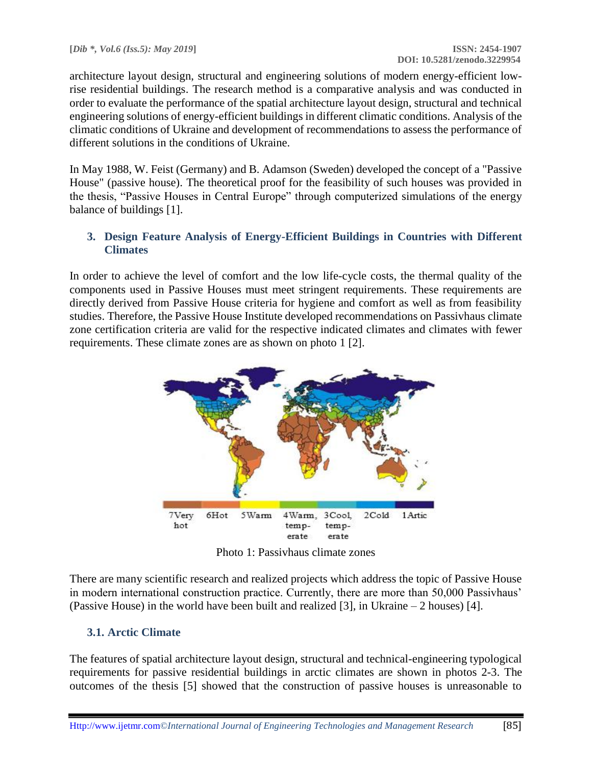architecture layout design, structural and engineering solutions of modern energy-efficient lowrise residential buildings. The research method is a comparative analysis and was conducted in order to evaluate the performance of the spatial architecture layout design, structural and technical engineering solutions of energy-efficient buildings in different climatic conditions. Analysis of the climatic conditions of Ukraine and development of recommendations to assess the performance of different solutions in the conditions of Ukraine.

In May 1988, W. Feist (Germany) and B. Adamson (Sweden) developed the concept of a "Passive House" (passive house). The theoretical proof for the feasibility of such houses was provided in the thesis, "Passive Houses in Central Europe" through computerized simulations of the energy balance of buildings [1].

### **3. Design Feature Analysis of Energy-Efficient Buildings in Countries with Different Climates**

In order to achieve the level of comfort and the low life-cycle costs, the thermal quality of the components used in Passive Houses must meet stringent requirements. These requirements are directly derived from Passive House criteria for hygiene and comfort as well as from feasibility studies. Therefore, the Passive House Institute developed recommendations on Passivhaus climate zone certification criteria are valid for the respective indicated climates and climates with fewer requirements. These climate zones are as shown on photo 1 [2].



Photo 1: Passivhaus climate zones

There are many scientific research and realized projects which address the topic of Passive House in modern international construction practice. Currently, there are more than 50,000 Passivhaus' (Passive House) in the world have been built and realized [3], in Ukraine – 2 houses) [4].

# **3.1. Arctic Climate**

The features of spatial architecture layout design, structural and technical-engineering typological requirements for passive residential buildings in arctic climates are shown in photos 2-3. The outcomes of the thesis [5] showed that the construction of passive houses is unreasonable to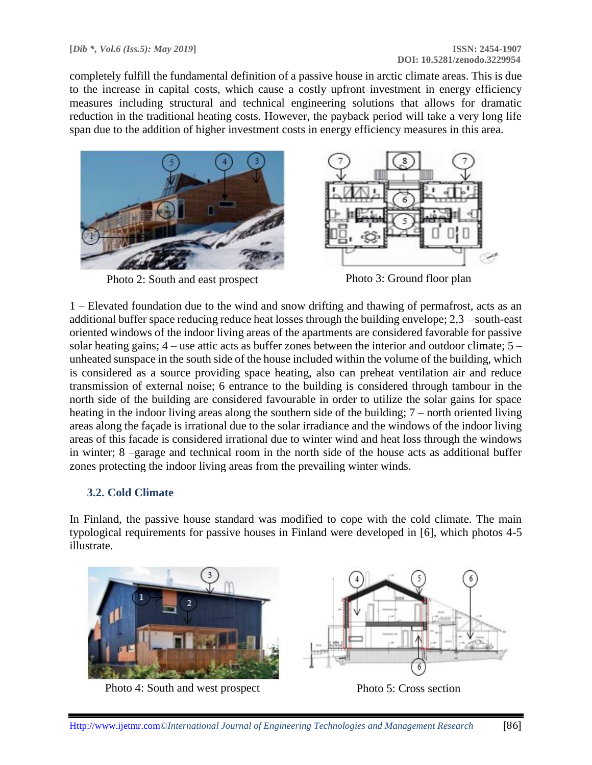completely fulfill the fundamental definition of a passive house in arctic climate areas. This is due to the increase in capital costs, which cause a costly upfront investment in energy efficiency measures including structural and technical engineering solutions that allows for dramatic reduction in the traditional heating costs. However, the payback period will take a very long life span due to the addition of higher investment costs in energy efficiency measures in this area.



Photo 2: South and east prospect Photo 3: Ground floor plan



1 – Elevated foundation due to the wind and snow drifting and thawing of permafrost, acts as an additional buffer space reducing reduce heat losses through the building envelope; 2,3 – south-east oriented windows of the indoor living areas of the apartments are considered favorable for passive solar heating gains; 4 – use attic acts as buffer zones between the interior and outdoor climate; 5 – unheated sunspace in the south side of the house included within the volume of the building, which is considered as a source providing space heating, also can preheat ventilation air and reduce transmission of external noise; 6 entrance to the building is considered through tambour in the north side of the building are considered favourable in order to utilize the solar gains for space heating in the indoor living areas along the southern side of the building; 7 – north oriented living areas along the façade is irrational due to the solar irradiance and the windows of the indoor living areas of this facade is considered irrational due to winter wind and heat loss through the windows in winter; 8 –garage and technical room in the north side of the house acts as additional buffer zones protecting the indoor living areas from the prevailing winter winds.

### **3.2. Cold Climate**

In Finland, the passive house standard was modified to cope with the cold climate. The main typological requirements for passive houses in Finland were developed in [6], which photos 4-5 illustrate.



Photo 4: South and west prospect Photo 5: Cross section

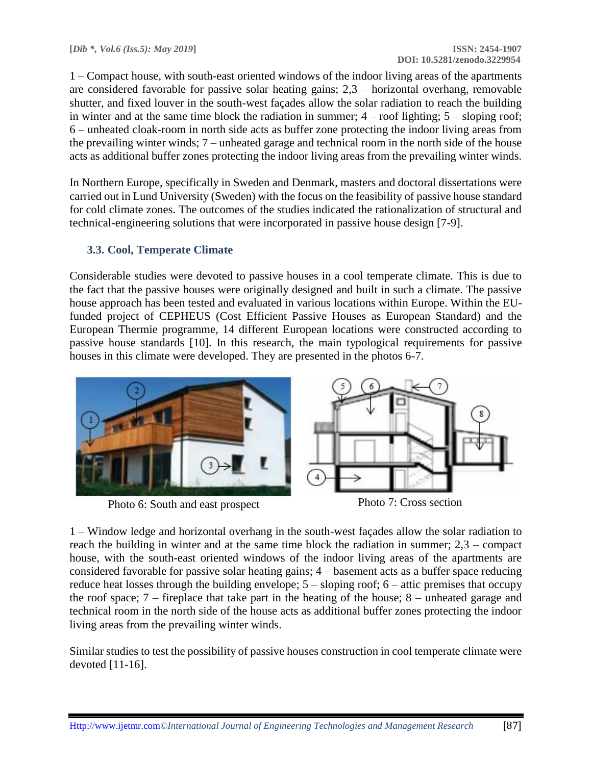1 – Compact house, with south-east oriented windows of the indoor living areas of the apartments are considered favorable for passive solar heating gains; 2,3 – horizontal overhang, removable shutter, and fixed louver in the south-west façades allow the solar radiation to reach the building in winter and at the same time block the radiation in summer;  $4 -$  roof lighting;  $5 -$  sloping roof; 6 – unheated cloak-room in north side acts as buffer zone protecting the indoor living areas from the prevailing winter winds; 7 – unheated garage and technical room in the north side of the house acts as additional buffer zones protecting the indoor living areas from the prevailing winter winds.

In Northern Europe, specifically in Sweden and Denmark, masters and doctoral dissertations were carried out in Lund University (Sweden) with the focus on the feasibility of passive house standard for cold climate zones. The outcomes of the studies indicated the rationalization of structural and technical-engineering solutions that were incorporated in passive house design [7-9].

### **3.3. Cool, Temperate Climate**

Considerable studies were devoted to passive houses in a cool temperate climate. This is due to the fact that the passive houses were originally designed and built in such a climate. The passive house approach has been tested and evaluated in various locations within Europe. Within the EUfunded project of CEPHEUS (Cost Efficient Passive Houses as European Standard) and the European Thermie programme, 14 different European locations were constructed according to passive house standards [10]. In this research, the main typological requirements for passive houses in this climate were developed. They are presented in the photos 6-7.



Photo 6: South and east prospect Photo 7: Cross section

1 – Window ledge and horizontal overhang in the south-west façades allow the solar radiation to reach the building in winter and at the same time block the radiation in summer; 2,3 – compact house, with the south-east oriented windows of the indoor living areas of the apartments are considered favorable for passive solar heating gains; 4 – basement acts as a buffer space reducing reduce heat losses through the building envelope; 5 – sloping roof; 6 – attic premises that occupy the roof space; 7 – fireplace that take part in the heating of the house; 8 – unheated garage and technical room in the north side of the house acts as additional buffer zones protecting the indoor living areas from the prevailing winter winds.

Similar studies to test the possibility of passive houses construction in cool temperate climate were devoted [11-16].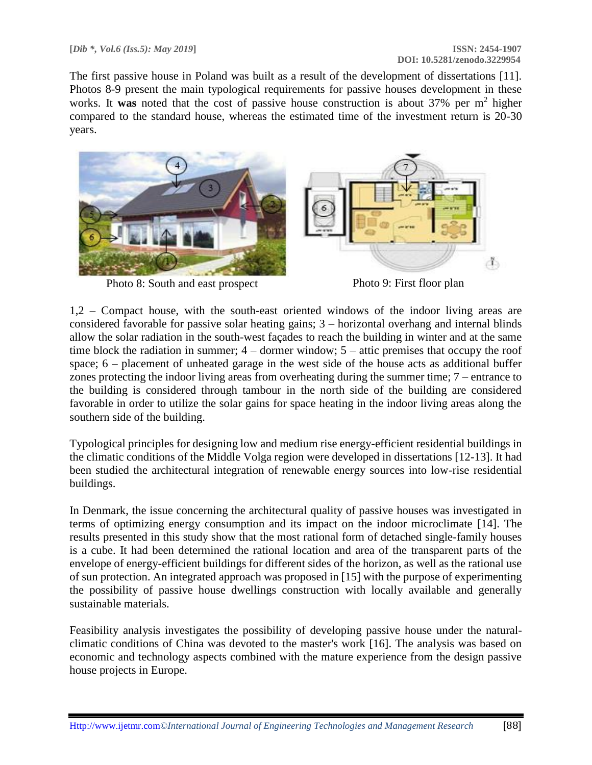The first passive house in Poland was built as a result of the development of dissertations [11]. Photos 8-9 present the main typological requirements for passive houses development in these works. It was noted that the cost of passive house construction is about 37% per m<sup>2</sup> higher compared to the standard house, whereas the estimated time of the investment return is 20-30 years.



Photo 8: South and east prospect Photo 9: First floor plan



1,2 – Compact house, with the south-east oriented windows of the indoor living areas are considered favorable for passive solar heating gains; 3 – horizontal overhang and internal blinds allow the solar radiation in the south-west façades to reach the building in winter and at the same time block the radiation in summer; 4 – dormer window; 5 – attic premises that occupy the roof space; 6 – placement of unheated garage in the west side of the house acts as additional buffer zones protecting the indoor living areas from overheating during the summer time; 7 – entrance to the building is considered through tambour in the north side of the building are considered favorable in order to utilize the solar gains for space heating in the indoor living areas along the southern side of the building.

Typological principles for designing low and medium rise energy-efficient residential buildings in the climatic conditions of the Middle Volga region were developed in dissertations [12-13]. It had been studied the architectural integration of renewable energy sources into low-rise residential buildings.

In Denmark, the issue concerning the architectural quality of passive houses was investigated in terms of optimizing energy consumption and its impact on the indoor microclimate [14]. The results presented in this study show that the most rational form of detached single-family houses is a cube. It had been determined the rational location and area of the transparent parts of the envelope of energy-efficient buildings for different sides of the horizon, as well as the rational use of sun protection. An integrated approach was proposed in [15] with the purpose of experimenting the possibility of passive house dwellings construction with locally available and generally sustainable materials.

Feasibility analysis investigates the possibility of developing passive house under the naturalclimatic conditions of China was devoted to the master's work [16]. The analysis was based on economic and technology aspects combined with the mature experience from the design passive house projects in Europe.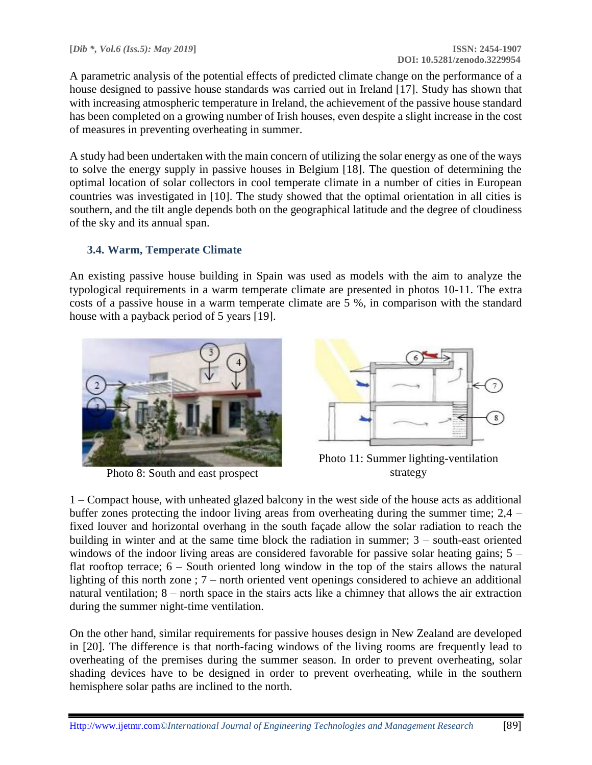A parametric analysis of the potential effects of predicted climate change on the performance of a house designed to passive house standards was carried out in Ireland [17]. Study has shown that with increasing atmospheric temperature in Ireland, the achievement of the passive house standard has been completed on a growing number of Irish houses, even despite a slight increase in the cost of measures in preventing overheating in summer.

A study had been undertaken with the main concern of utilizing the solar energy as one of the ways to solve the energy supply in passive houses in Belgium [18]. The question of determining the optimal location of solar collectors in cool temperate climate in a number of cities in European countries was investigated in [10]. The study showed that the optimal orientation in all cities is southern, and the tilt angle depends both on the geographical latitude and the degree of cloudiness of the sky and its annual span.

# **3.4. Warm, Temperate Climate**

An existing passive house building in Spain was used as models with the aim to analyze the typological requirements in a warm temperate climate are presented in photos 10-11. The extra costs of a passive house in a warm temperate climate are 5 %, in comparison with the standard house with a payback period of 5 years [19].



Photo 8: South and east prospect



Photo 11: Summer lighting-ventilation strategy

1 – Compact house, with unheated glazed balcony in the west side of the house acts as additional buffer zones protecting the indoor living areas from overheating during the summer time; 2,4 – fixed louver and horizontal overhang in the south façade allow the solar radiation to reach the building in winter and at the same time block the radiation in summer; 3 – south-east oriented windows of the indoor living areas are considered favorable for passive solar heating gains;  $5$ flat rooftop terrace; 6 – South oriented long window in the top of the stairs allows the natural lighting of this north zone ; 7 – north oriented vent openings considered to achieve an additional natural ventilation; 8 – north space in the stairs acts like a chimney that allows the air extraction during the summer night-time ventilation.

On the other hand, similar requirements for passive houses design in New Zealand are developed in [20]. The difference is that north-facing windows of the living rooms are frequently lead to overheating of the premises during the summer season. In order to prevent overheating, solar shading devices have to be designed in order to prevent overheating, while in the southern hemisphere solar paths are inclined to the north.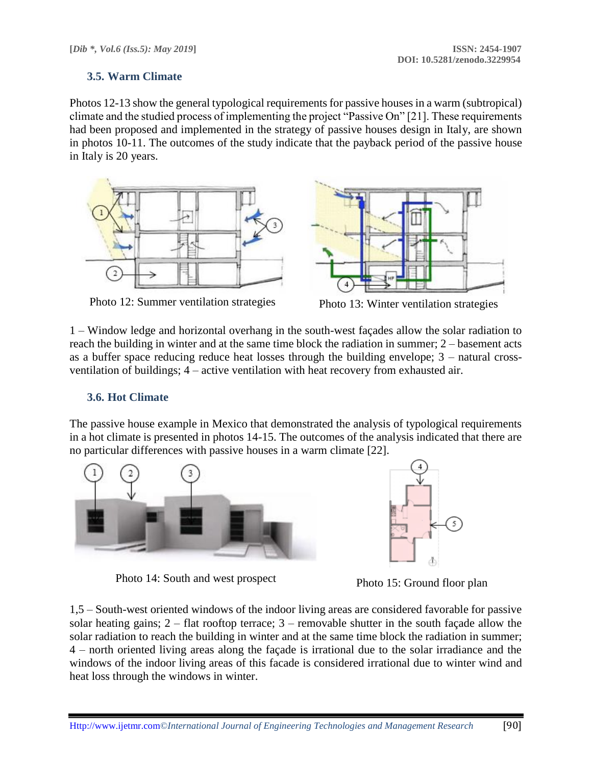### **3.5. Warm Climate**

Photos 12-13 show the general typological requirements for passive houses in a warm (subtropical) climate and the studied process of implementing the project "Passive On" [21]. These requirements had been proposed and implemented in the strategy of passive houses design in Italy, are shown in photos 10-11. The outcomes of the study indicate that the payback period of the passive house in Italy is 20 years.





Photo 12: Summer ventilation strategies Photo 13: Winter ventilation strategies

1 – Window ledge and horizontal overhang in the south-west façades allow the solar radiation to reach the building in winter and at the same time block the radiation in summer; 2 – basement acts as a buffer space reducing reduce heat losses through the building envelope; 3 – natural crossventilation of buildings; 4 – active ventilation with heat recovery from exhausted air.

### **3.6. Hot Climate**

The passive house example in Mexico that demonstrated the analysis of typological requirements in a hot climate is presented in photos 14-15. The outcomes of the analysis indicated that there are no particular differences with passive houses in a warm climate [22].





Photo 14: South and west prospect<br>
Photo 15: Ground floor plan

1,5 – South-west oriented windows of the indoor living areas are considered favorable for passive solar heating gains; 2 – flat rooftop terrace; 3 – removable shutter in the south façade allow the solar radiation to reach the building in winter and at the same time block the radiation in summer; 4 – north oriented living areas along the façade is irrational due to the solar irradiance and the windows of the indoor living areas of this facade is considered irrational due to winter wind and heat loss through the windows in winter.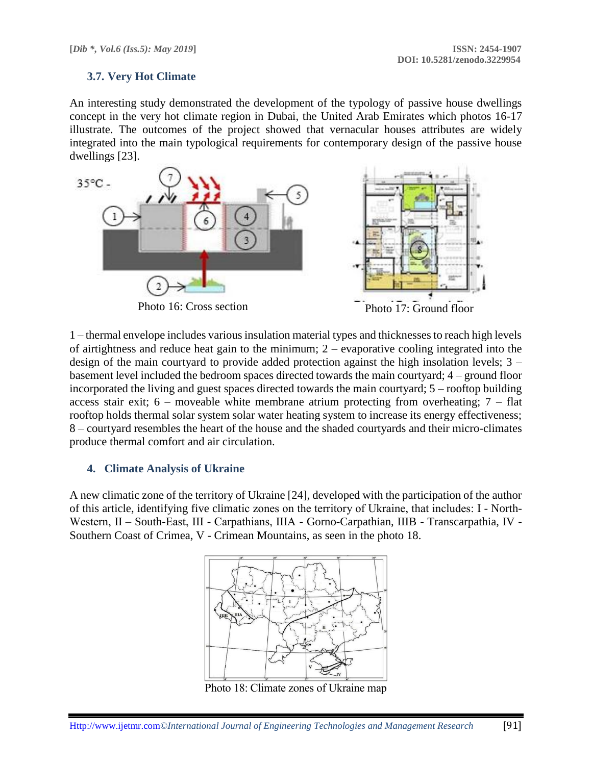### **3.7. Very Hot Climate**

An interesting study demonstrated the development of the typology of passive house dwellings concept in the very hot climate region in Dubai, the United Arab Emirates which photos 16-17 illustrate. The outcomes of the project showed that vernacular houses attributes are widely integrated into the main typological requirements for contemporary design of the passive house dwellings [23].



1 – thermal envelope includes various insulation material types and thicknesses to reach high levels of airtightness and reduce heat gain to the minimum; 2 – evaporative cooling integrated into the design of the main courtyard to provide added protection against the high insolation levels; 3 – basement level included the bedroom spaces directed towards the main courtyard; 4 – ground floor incorporated the living and guest spaces directed towards the main courtyard; 5 – rooftop building access stair exit;  $6$  – moveable white membrane atrium protecting from overheating;  $7$  – flat rooftop holds thermal solar system solar water heating system to increase its energy effectiveness; 8 – courtyard resembles the heart of the house and the shaded courtyards and their micro-climates produce thermal comfort and air circulation.

#### **4. Climate Analysis of Ukraine**

A new climatic zone of the territory of Ukraine [24], developed with the participation of the author of this article, identifying five climatic zones on the territory of Ukraine, that includes: І - North-Western, II – South-East, III - Carpathians, IIIA - Gorno-Carpathian, IIIB - Transcarpathia, IV -Southern Coast of Crimea, V - Crimean Mountains, as seen in the photo 18.



Photo 18: Climate zones of Ukraine map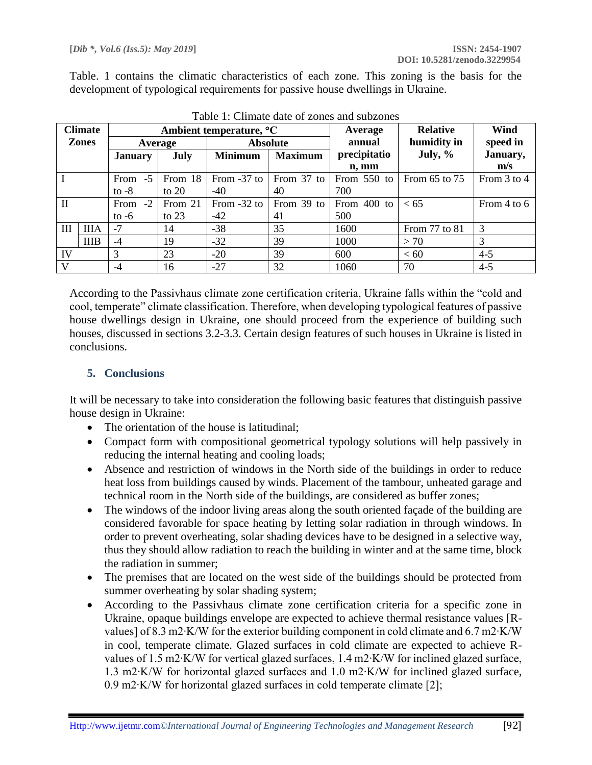Table. 1 contains the climatic characteristics of each zone. This zoning is the basis for the development of typological requirements for passive house dwellings in Ukraine.

| <b>Climate</b> |             | Ambient temperature, <sup>o</sup> C |         |                 |                | Average       | <b>Relative</b>   | Wind        |
|----------------|-------------|-------------------------------------|---------|-----------------|----------------|---------------|-------------------|-------------|
| <b>Zones</b>   |             | Average                             |         | <b>Absolute</b> |                | annual        | humidity in       | speed in    |
|                |             | <b>January</b>                      | July    | <b>Minimum</b>  | <b>Maximum</b> | precipitatio  | July, $\%$        | January,    |
|                |             |                                     |         |                 |                | n, mm         |                   | m/s         |
|                |             | $-5$<br>From                        | From 18 | From -37 to     | From 37 to     | From $550$ to | From $65$ to $75$ | From 3 to 4 |
|                |             | to $-8$                             | to $20$ | -40             | 40             | 700           |                   |             |
| H              |             | $-2$<br>From                        | From 21 | From -32 to     | From 39 to     | From 400 to   | < 65              | From 4 to 6 |
|                |             | to $-6$                             | to $23$ | $-42$           | 41             | 500           |                   |             |
| III            | <b>IIIA</b> | $-7$                                | 14      | $-38$           | 35             | 1600          | From 77 to 81     | 3           |
|                | <b>IIIB</b> | $-4$                                | 19      | $-32$           | 39             | 1000          | > 70              | 3           |
| IV             |             | 3                                   | 23      | $-20$           | 39             | 600           | < 60              | $4 - 5$     |
| V              |             | $-4$                                | 16      | $-27$           | 32             | 1060          | 70                | $4 - 5$     |

Table 1: Climate date of zones and subzones

According to the Passivhaus climate zone certification criteria, Ukraine falls within the "cold and cool, temperate" climate classification. Therefore, when developing typological features of passive house dwellings design in Ukraine, one should proceed from the experience of building such houses, discussed in sections 3.2-3.3. Certain design features of such houses in Ukraine is listed in conclusions.

### **5. Conclusions**

It will be necessary to take into consideration the following basic features that distinguish passive house design in Ukraine:

- The orientation of the house is latitudinal:
- Compact form with compositional geometrical typology solutions will help passively in reducing the internal heating and cooling loads;
- Absence and restriction of windows in the North side of the buildings in order to reduce heat loss from buildings caused by winds. Placement of the tambour, unheated garage and technical room in the North side of the buildings, are considered as buffer zones;
- The windows of the indoor living areas along the south oriented façade of the building are considered favorable for space heating by letting solar radiation in through windows. In order to prevent overheating, solar shading devices have to be designed in a selective way, thus they should allow radiation to reach the building in winter and at the same time, block the radiation in summer;
- The premises that are located on the west side of the buildings should be protected from summer overheating by solar shading system;
- According to the Passivhaus climate zone certification criteria for a specific zone in Ukraine, opaque buildings envelope are expected to achieve thermal resistance values [Rvalues] of 8.3 m2∙K/W for the exterior building component in cold climate and 6.7 m2∙K/W in cool, temperate climate. Glazed surfaces in cold climate are expected to achieve Rvalues of 1.5 m2∙K/W for vertical glazed surfaces, 1.4 m2∙K/W for inclined glazed surface, 1.3 m2∙K/W for horizontal glazed surfaces and 1.0 m2∙K/W for inclined glazed surface, 0.9 m2∙K/W for horizontal glazed surfaces in cold temperate climate [2];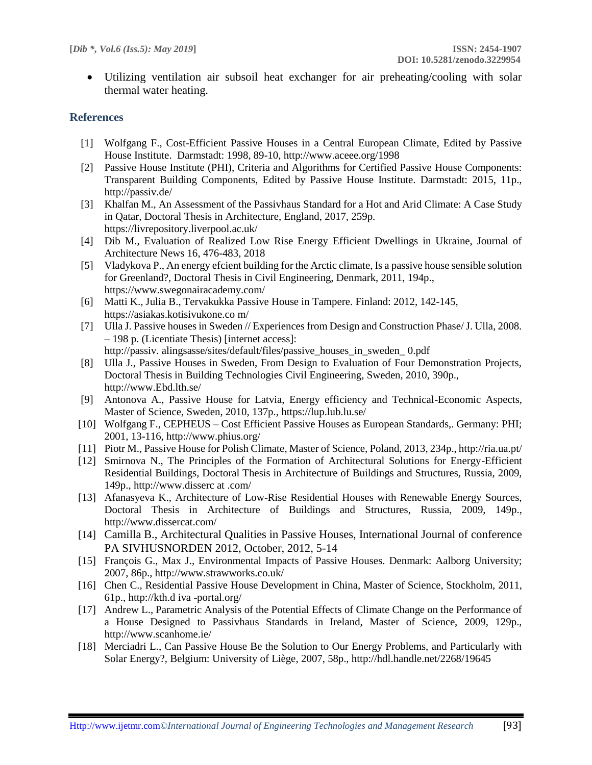Utilizing ventilation air subsoil heat exchanger for air preheating/cooling with solar thermal water heating.

### **References**

- [1] Wolfgang F., Cost-Efficient Passive Houses in a Central European Climate, Edited by Passive House Institute. Darmstadt: 1998, 89-10, http://www.aceee.org/1998
- [2] Passive House Institute (PHI), Criteria and Algorithms for Certified Passive House Components: Transparent Building Components, Edited by Passive House Institute. Darmstadt: 2015, 11p., http://passiv.de/
- [3] Khalfan M., An Assessment of the Passivhaus Standard for a Hot and Arid Climate: A Case Study in Qatar, Doctoral Thesis in Architecture, England, 2017, 259p. https://livrepository.liverpool.ac.uk/
- [4] Dib M., Evaluation of Realized Low Rise Energy Efficient Dwellings in Ukraine, Journal of Architecture News 16, 476-483, 2018
- [5] Vladykova P., An energy efcient building for the Arctic climate, Is a passive house sensible solution for Greenland?, Doctoral Thesis in Civil Engineering, Denmark, 2011, 194p., https://www.swegonairacademy.com/
- [6] Matti K., Julia B., Tervakukka Passive House in Tampere. Finland: 2012, 142-145, [https://asi](https://as/)akas.kotisivukone.co m/
- [7] Ulla J. Passive houses in Sweden // Experiences from Design and Construction Phase/ J. Ulla, 2008. – 198 p. (Licentiate Thesis) [internet access]: http://passiv. alingsasse/sites/default/files/passive\_houses\_in\_sweden\_ 0.pdf
- [8] Ulla J., Passive Houses in Sweden, From Design to Evaluation of Four Demonstration Projects, Doctoral Thesis in [Building Technologies](https://lup.lub.lu.se/search/publication?q=subject+exact+20103) [Civil Engineering,](https://lup.lub.lu.se/search/publication?q=subject+exact+201) Sweden, 2010, 390p., http://www.Ebd.lth.se/
- [9] Antonova A., Passive House for Latvia, Energy efficiency and Technical-Economic Aspects, Master of Science, Sweden, 2010, 137p., https://lup.lub.lu.se/
- [10] Wolfgang F., CEPHEUS Cost Efficient Passive Houses as European Standards,. Germany: PHI; 2001, 13-116, http://www.phius.org/
- [11] Piotr M., Passive House for Polish Climate, Master of Science, Poland, 2013, 234p., http://ria.ua.pt/
- [12] Smirnova N., The Principles of the Formation of Architectural Solutions for Energy-Efficient Residential Buildings, Doctoral Thesis in Architecture of Buildings and Structures, Russia, 2009, 149p., http://www.disserc at .com/
- [13] Afanasyeva K., Architecture of Low-Rise Residential Houses with Renewable Energy Sources, Doctoral Thesis in Architecture of Buildings and Structures, Russia, 2009, 149p., http://www.dissercat.com/
- [14] Camilla B., Architectural Qualities in Passive Houses, International Journal of conference PA SIVHUSNORDEN 2012, October, 2012, 5-14
- [15] François G., Max J., Environmental Impacts of Passive Houses. Denmark: Aalborg University; 2007, 86p., http://www.strawworks.co.uk/
- [16] Chen C., Residential Passive House Development in China, Master of Science, Stockholm, 2011, 61p., http://kth.d iva -portal.org/
- [17] Andrew L., Parametric Analysis of the Potential Effects of Climate Change on the Performance of a House Designed to Passivhaus Standards in Ireland, Master of Science, 2009, 129p., http://www.scanhome.ie/
- [18] Merciadri L., Can Passive House Be the Solution to Our Energy Problems, and Particularly with Solar Energy?, Belgium: [University of Liège,](https://www.google.com.ua/url?sa=t&rct=j&q=&esrc=s&source=web&cd=2&cad=rja&uact=8&ved=2ahUKEwiFw--MkIfgAhVGXCwKHQFaAv0QjBAwAXoECAAQCg&url=https%3A%2F%2Fwww.uliege.be%2Fcms%2Fc_8750816%2Fen%2Fportail-uliege&usg=AOvVaw29mYRYer4Pm-bwQF1rRb7u) 2007, 58p., http://hdl.handle.net/2268/19645